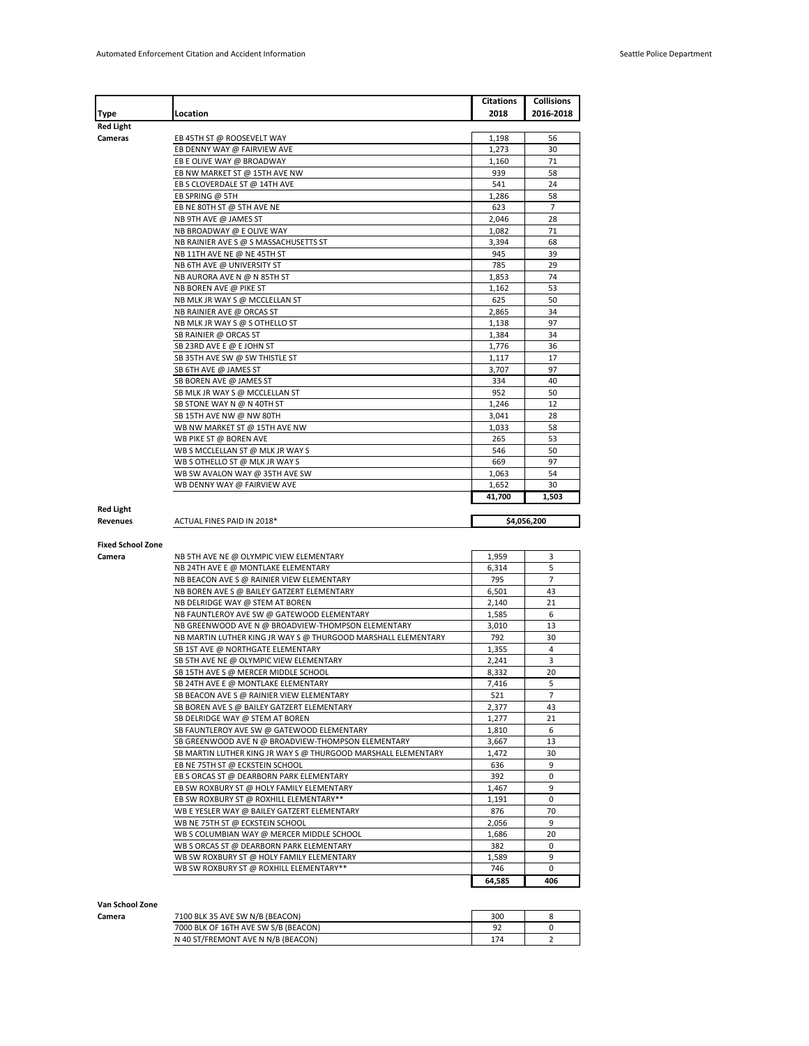|                          |                                                               | Citations | <b>Collisions</b>  |
|--------------------------|---------------------------------------------------------------|-----------|--------------------|
| Type                     | Location                                                      | 2018      | 2016-2018          |
| <b>Red Light</b>         |                                                               |           |                    |
| Cameras                  | EB 45TH ST @ ROOSEVELT WAY                                    | 1,198     | 56                 |
|                          | EB DENNY WAY @ FAIRVIEW AVE                                   | 1,273     | 30                 |
|                          | EB E OLIVE WAY @ BROADWAY                                     | 1,160     | 71                 |
|                          | EB NW MARKET ST @ 15TH AVE NW                                 | 939       | 58                 |
|                          | EB S CLOVERDALE ST @ 14TH AVE                                 | 541       | 24                 |
|                          | EB SPRING @ 5TH                                               | 1,286     | 58                 |
|                          | EB NE 80TH ST @ 5TH AVE NE                                    | 623       | 7                  |
|                          | NB 9TH AVE @ JAMES ST                                         | 2,046     | 28                 |
|                          | NB BROADWAY @ E OLIVE WAY                                     | 1.082     | 71                 |
|                          | NB RAINIER AVE S @ S MASSACHUSETTS ST                         | 3,394     | 68                 |
|                          | NB 11TH AVE NE @ NE 45TH ST                                   | 945       | 39                 |
|                          | NB 6TH AVE @ UNIVERSITY ST                                    | 785       | 29                 |
|                          | NB AURORA AVE N @ N 85TH ST                                   | 1.853     | 74                 |
|                          | NB BOREN AVE @ PIKE ST                                        | 1,162     | 53                 |
|                          | NB MLK JR WAY S @ MCCLELLAN ST                                | 625       | 50                 |
|                          | NB RAINIER AVE @ ORCAS ST                                     | 2,865     | 34                 |
|                          | NB MLK JR WAY S @ S OTHELLO ST                                | 1,138     | 97                 |
|                          | SB RAINIER @ ORCAS ST                                         | 1,384     | 34                 |
|                          | SB 23RD AVE E @ E JOHN ST                                     | 1,776     | 36                 |
|                          | SB 35TH AVE SW @ SW THISTLE ST                                | 1,117     | 17                 |
|                          | SB 6TH AVE @ JAMES ST                                         | 3,707     | 97                 |
|                          | SB BOREN AVE @ JAMES ST                                       | 334       | 40                 |
|                          | SB MLK JR WAY S @ MCCLELLAN ST                                | 952       | 50                 |
|                          | SB STONE WAY N @ N 40TH ST                                    | 1,246     | 12                 |
|                          | SB 15TH AVE NW @ NW 80TH                                      | 3,041     | 28                 |
|                          | WB NW MARKET ST @ 15TH AVE NW                                 | 1,033     | 58                 |
|                          | WB PIKE ST @ BOREN AVE                                        | 265       | 53                 |
|                          | WB S MCCLELLAN ST @ MLK JR WAY S                              | 546       | 50                 |
|                          | WB S OTHELLO ST @ MLK JR WAY S                                | 669       | 97                 |
|                          | WB SW AVALON WAY @ 35TH AVE SW                                | 1,063     | 54                 |
|                          | WB DENNY WAY @ FAIRVIEW AVE                                   | 1,652     | 30                 |
|                          |                                                               |           |                    |
|                          |                                                               | 41,700    | 1,503              |
| <b>Red Light</b>         |                                                               |           |                    |
| <b>Revenues</b>          | ACTUAL FINES PAID IN 2018*                                    |           | \$4,056,200        |
|                          |                                                               |           |                    |
| <b>Fixed School Zone</b> |                                                               |           |                    |
| Camera                   | NB 5TH AVE NE @ OLYMPIC VIEW ELEMENTARY                       | 1,959     | 3                  |
|                          | NB 24TH AVE E @ MONTLAKE ELEMENTARY                           | 6,314     | 5                  |
|                          | NB BEACON AVE S @ RAINIER VIEW ELEMENTARY                     | 795       | 7                  |
|                          | NB BOREN AVE S @ BAILEY GATZERT ELEMENTARY                    | 6,501     | 43                 |
|                          | NB DELRIDGE WAY @ STEM AT BOREN                               | 2,140     | 21                 |
|                          | NB FAUNTLEROY AVE SW @ GATEWOOD ELEMENTARY                    | 1,585     | 6                  |
|                          | NB GREENWOOD AVE N @ BROADVIEW-THOMPSON ELEMENTARY            | 3,010     | 13                 |
|                          | NB MARTIN LUTHER KING JR WAY S @ THURGOOD MARSHALL ELEMENTARY | 792       | 30                 |
|                          | SB 1ST AVE @ NORTHGATE ELEMENTARY                             | 1,355     | 4                  |
|                          | SB 5TH AVE NE @ OLYMPIC VIEW ELEMENTARY                       | 2,241     | 3                  |
|                          | SB 15TH AVE S @ MERCER MIDDLE SCHOOL                          | 8,332     | 20                 |
|                          | SB 24TH AVE E @ MONTLAKE ELEMENTARY                           | 7,416     | 5                  |
|                          | SB BEACON AVE S @ RAINIER VIEW ELEMENTARY                     | 521       | 7                  |
|                          | SB BOREN AVE S @ BAILEY GATZERT ELEMENTARY                    | 2,377     | 43                 |
|                          | SB DELRIDGE WAY @ STEM AT BOREN                               | 1,277     | 21                 |
|                          | SB FAUNTLEROY AVE SW @ GATEWOOD ELEMENTARY                    | 1,810     | 6                  |
|                          | SB GREENWOOD AVE N @ BROADVIEW-THOMPSON ELEMENTARY            | 3,667     | 13                 |
|                          | SB MARTIN LUTHER KING JR WAY S @ THURGOOD MARSHALL ELEMENTARY | 1,472     | 30                 |
|                          | EB NE 75TH ST @ ECKSTEIN SCHOOL                               | 636       | 9                  |
|                          | EB S ORCAS ST @ DEARBORN PARK ELEMENTARY                      | 392       | $\mathbf 0$        |
|                          | EB SW ROXBURY ST @ HOLY FAMILY ELEMENTARY                     | 1,467     | 9                  |
|                          | EB SW ROXBURY ST @ ROXHILL ELEMENTARY**                       | 1.191     | $\mathbf 0$        |
|                          | WB E YESLER WAY @ BAILEY GATZERT ELEMENTARY                   | 876       | 70                 |
|                          | WB NE 75TH ST @ ECKSTEIN SCHOOL                               | 2,056     | 9                  |
|                          | WB S COLUMBIAN WAY @ MERCER MIDDLE SCHOOL                     | 1,686     | 20                 |
|                          | WB S ORCAS ST @ DEARBORN PARK ELEMENTARY                      | 382       | 0                  |
|                          | WB SW ROXBURY ST @ HOLY FAMILY ELEMENTARY                     | 1,589     | 9                  |
|                          | WB SW ROXBURY ST @ ROXHILL ELEMENTARY**                       | 746       | $\mathbf 0$<br>406 |

| Van School Zone |                                      |     |  |
|-----------------|--------------------------------------|-----|--|
| Camera          | 7100 BLK 35 AVE SW N/B (BEACON)      | 300 |  |
|                 | 7000 BLK OF 16TH AVE SW S/B (BEACON) | 92  |  |
|                 | N 40 ST/FREMONT AVE N N/B (BEACON)   | 174 |  |